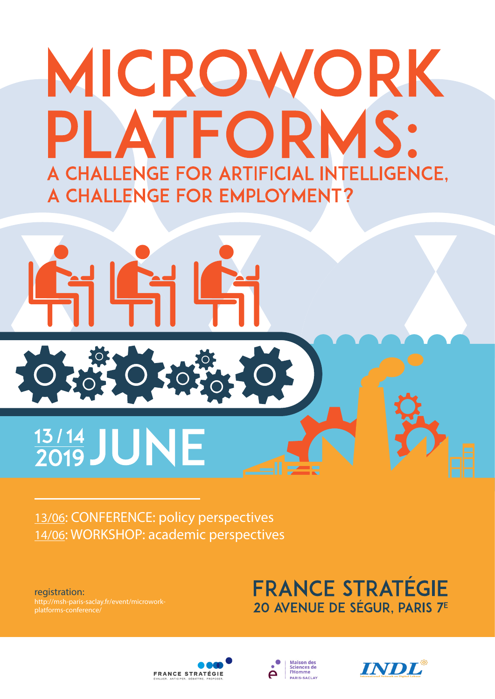## MICROWORK PLATFORMS: A CHALLENGE FOR ARTIFICIAL INTELLIGENCE, A CHALLENGE FOR EMPLOYMENT?





# 13/14 JUNE

13/06: CONFERENCE: policy perspectives 14/06: WORKSHOP: academic perspectives

registration: http://msh-paris-saclay.fr/event/microworkplatforms-conference/

### **FRANCE STRATÉGIE** 20 AVENUE DE SÉGUR, PARIS 7<sup>E</sup>